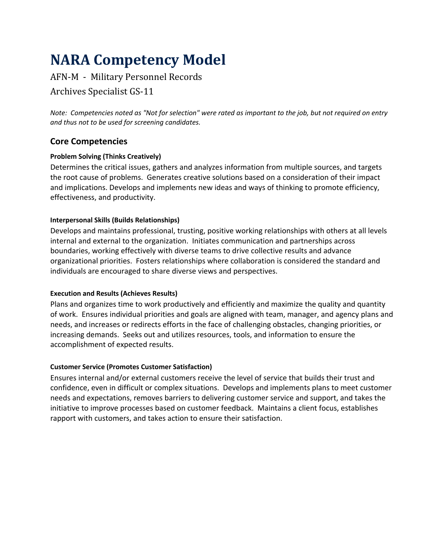# **NARA Competency Model**

# AFN-M - Military Personnel Records

# Archives Specialist GS-11

*Note: Competencies noted as "Not for selection" were rated as important to the job, but not required on entry and thus not to be used for screening candidates.*

# **Core Competencies**

## **Problem Solving (Thinks Creatively)**

Determines the critical issues, gathers and analyzes information from multiple sources, and targets the root cause of problems. Generates creative solutions based on a consideration of their impact and implications. Develops and implements new ideas and ways of thinking to promote efficiency, effectiveness, and productivity.

## **Interpersonal Skills (Builds Relationships)**

Develops and maintains professional, trusting, positive working relationships with others at all levels internal and external to the organization. Initiates communication and partnerships across boundaries, working effectively with diverse teams to drive collective results and advance organizational priorities. Fosters relationships where collaboration is considered the standard and individuals are encouraged to share diverse views and perspectives.

#### **Execution and Results (Achieves Results)**

Plans and organizes time to work productively and efficiently and maximize the quality and quantity of work. Ensures individual priorities and goals are aligned with team, manager, and agency plans and needs, and increases or redirects efforts in the face of challenging obstacles, changing priorities, or increasing demands. Seeks out and utilizes resources, tools, and information to ensure the accomplishment of expected results.

## **Customer Service (Promotes Customer Satisfaction)**

Ensures internal and/or external customers receive the level of service that builds their trust and confidence, even in difficult or complex situations. Develops and implements plans to meet customer needs and expectations, removes barriers to delivering customer service and support, and takes the initiative to improve processes based on customer feedback. Maintains a client focus, establishes rapport with customers, and takes action to ensure their satisfaction.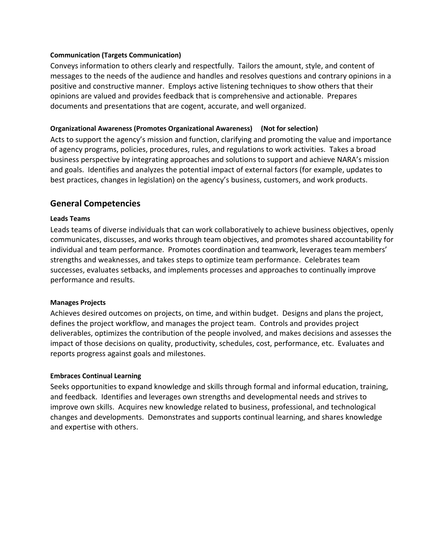#### **Communication (Targets Communication)**

Conveys information to others clearly and respectfully. Tailors the amount, style, and content of messages to the needs of the audience and handles and resolves questions and contrary opinions in a positive and constructive manner. Employs active listening techniques to show others that their opinions are valued and provides feedback that is comprehensive and actionable. Prepares documents and presentations that are cogent, accurate, and well organized.

#### **Organizational Awareness (Promotes Organizational Awareness) (Not for selection)**

Acts to support the agency's mission and function, clarifying and promoting the value and importance of agency programs, policies, procedures, rules, and regulations to work activities. Takes a broad business perspective by integrating approaches and solutions to support and achieve NARA's mission and goals. Identifies and analyzes the potential impact of external factors (for example, updates to best practices, changes in legislation) on the agency's business, customers, and work products.

## **General Competencies**

#### **Leads Teams**

Leads teams of diverse individuals that can work collaboratively to achieve business objectives, openly communicates, discusses, and works through team objectives, and promotes shared accountability for individual and team performance. Promotes coordination and teamwork, leverages team members' strengths and weaknesses, and takes steps to optimize team performance. Celebrates team successes, evaluates setbacks, and implements processes and approaches to continually improve performance and results.

#### **Manages Projects**

Achieves desired outcomes on projects, on time, and within budget. Designs and plans the project, defines the project workflow, and manages the project team. Controls and provides project deliverables, optimizes the contribution of the people involved, and makes decisions and assesses the impact of those decisions on quality, productivity, schedules, cost, performance, etc. Evaluates and reports progress against goals and milestones.

#### **Embraces Continual Learning**

Seeks opportunities to expand knowledge and skills through formal and informal education, training, and feedback. Identifies and leverages own strengths and developmental needs and strives to improve own skills. Acquires new knowledge related to business, professional, and technological changes and developments. Demonstrates and supports continual learning, and shares knowledge and expertise with others.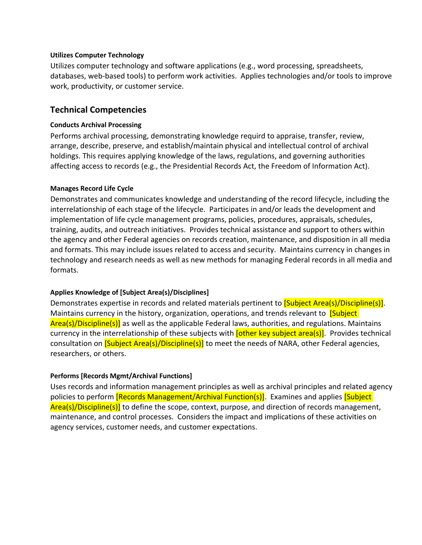#### **Utilizes Computer Technology**

Utilizes computer technology and software applications (e.g., word processing, spreadsheets, databases, web-based tools) to perform work activities. Applies technologies and/or tools to improve work, productivity, or customer service.

## **Technical Competencies**

#### **Conducts Archival Processing**

Performs archival processing, demonstrating knowledge requird to appraise, transfer, review, arrange, describe, preserve, and establish/maintain physical and intellectual control of archival holdings. This requires applying knowledge of the laws, regulations, and governing authorities affecting access to records (e.g., the Presidential Records Act, the Freedom of Information Act).

#### **Manages Record Life Cycle**

Demonstrates and communicates knowledge and understanding of the record lifecycle, including the interrelationship of each stage of the lifecycle. Participates in and/or leads the development and implementation of life cycle management programs, policies, procedures, appraisals, schedules, training, audits, and outreach initiatives. Provides technical assistance and support to others within the agency and other Federal agencies on records creation, maintenance, and disposition in all media and formats. This may include issues related to access and security. Maintains currency in changes in technology and research needs as well as new methods for managing Federal records in all media and formats.

#### **Applies Knowledge of [Subject Area(s)/Disciplines]**

Demonstrates expertise in records and related materials pertinent to [Subject Area(s)/Discipline(s)]. Maintains currency in the history, organization, operations, and trends relevant to **[Subject**] Area(s)/Discipline(s)] as well as the applicable Federal laws, authorities, and regulations. Maintains currency in the interrelationship of these subjects with **[other key subject area(s)**]. Provides technical consultation on **[Subject Area(s)/Discipline(s)]** to meet the needs of NARA, other Federal agencies, researchers, or others.

#### **Performs [Records Mgmt/Archival Functions]**

Uses records and information management principles as well as archival principles and related agency policies to perform **[Records Management/Archival Function(s)]**. Examines and applies **[Subject**] Area(s)/Discipline(s)] to define the scope, context, purpose, and direction of records management, maintenance, and control processes.Considers the impact and implications of these activities on agency services, customer needs, and customer expectations.